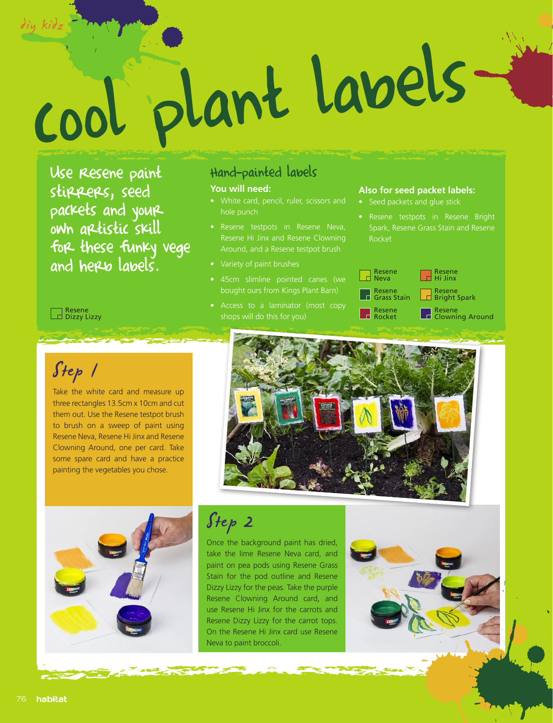# cool plant labels diy kidz

Use Resene paint stirrers, seed packets and your own artistic skill for these funky vege and here labels.

## Hand-painted labels

#### **You will need:**

- White card, pencil, ruler, scissors and hole punch
- Resene Hi Jinx and Resene Clowning Around, and a Resene testpot brush
- • Variety of paint brushes
- bought ours from Kings Plant Barn)
- Access to a laminator (most copy shops will do this for you)

#### **Also for seed packet labels:**

- Seed packets and glue stick
- Spark, Resene Grass Stain and Resene Rocket



Resene<br>Dizzy Lizzy

# Step 1

Take the white card and measure up three rectangles 13.5cm x 10cm and cut them out. Use the Resene testpot brush to brush on a sweep of paint using Resene Neva, Resene Hi Jinx and Resene Clowning Around, one per card. Take some spare card and have a practice painting the vegetables you chose.





Step 2

Once the background paint has dried, take the lime Resene Neva card, and paint on pea pods using Resene Grass Stain for the pod outline and Resene Dizzy Lizzy for the peas. Take the purple Resene Clowning Around card, and use Resene Hi Jinx for the carrots and Resene Dizzy Lizzy for the carrot tops. On the Resene Hi Jinx card use Resene Neva to paint broccoli.